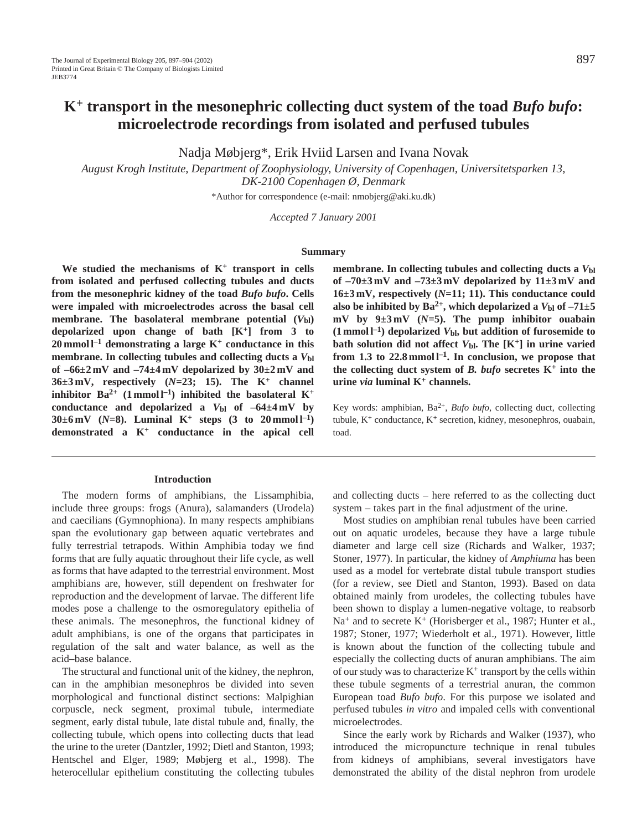# **K+ transport in the mesonephric collecting duct system of the toad** *Bufo bufo***: microelectrode recordings from isolated and perfused tubules**

Nadja Møbjerg\*, Erik Hviid Larsen and Ivana Novak

*August Krogh Institute, Department of Zoophysiology, University of Copenhagen, Universitetsparken 13, DK-2100 Copenhagen Ø, Denmark*

\*Author for correspondence (e-mail: nmobjerg@aki.ku.dk)

*Accepted 7 January 2001* 

#### **Summary**

**We studied the mechanisms of K+ transport in cells from isolated and perfused collecting tubules and ducts from the mesonephric kidney of the toad** *Bufo bufo***. Cells were impaled with microelectrodes across the basal cell membrane.** The basolateral membrane potential  $(V<sub>bl</sub>)$ **depolarized upon change of bath [K+] from 3 to**  $20$  mmol  $l^{-1}$  demonstrating a large  $K^+$  conductance in this **membrane. In collecting tubules and collecting ducts a** *V***bl of –66±2 mV and –74±4 mV depolarized by 30±2 mV and 36±3 mV, respectively (***N=***23; 15). The K<sup>+</sup> channel inhibitor Ba**<sup>2+</sup> (1 mmol  $l^{-1}$ ) inhibited the basolateral  $K^+$ conductance and depolarized a  $V_{bl}$  of  $-64\pm4$  mV by **30**±6 mV (*N*=8). Luminal K<sup>+</sup> steps (3 to 20 mmol l<sup>-1</sup>) **demonstrated a K+ conductance in the apical cell**

#### **Introduction**

The modern forms of amphibians, the Lissamphibia, include three groups: frogs (Anura), salamanders (Urodela) and caecilians (Gymnophiona). In many respects amphibians span the evolutionary gap between aquatic vertebrates and fully terrestrial tetrapods. Within Amphibia today we find forms that are fully aquatic throughout their life cycle, as well as forms that have adapted to the terrestrial environment. Most amphibians are, however, still dependent on freshwater for reproduction and the development of larvae. The different life modes pose a challenge to the osmoregulatory epithelia of these animals. The mesonephros, the functional kidney of adult amphibians, is one of the organs that participates in regulation of the salt and water balance, as well as the acid–base balance.

The structural and functional unit of the kidney, the nephron, can in the amphibian mesonephros be divided into seven morphological and functional distinct sections: Malpighian corpuscle, neck segment, proximal tubule, intermediate segment, early distal tubule, late distal tubule and, finally, the collecting tubule, which opens into collecting ducts that lead the urine to the ureter (Dantzler, 1992; Dietl and Stanton, 1993; Hentschel and Elger, 1989; Møbjerg et al., 1998). The heterocellular epithelium constituting the collecting tubules

**membrane. In collecting tubules and collecting ducts a** *V***bl of –70±3 mV and –73±3 mV depolarized by 11±3 mV and 16±3 mV, respectively (***N=***11; 11). This conductance could** also be inhibited by  $Ba^{2+}$ , which depolarized a  $V_{bl}$  of  $-71\pm5$ **mV by 9±3 mV (***N=***5). The pump inhibitor ouabain**  $(1 \text{ mmol } l^{-1})$  depolarized  $V_{bl}$ , but addition of furosemide to **bath solution did not affect** *V***bl. The [K+] in urine varied** from 1.3 to  $22.8 \text{ mmol}^{-1}$ . In conclusion, we propose that the collecting duct system of  $B$ . bufo secretes  $K^+$  into the **urine** *via* **luminal K+ channels.** 

Key words: amphibian, Ba<sup>2+</sup>, *Bufo bufo*, collecting duct, collecting tubule, K**<sup>+</sup>** conductance, K**<sup>+</sup>** secretion, kidney, mesonephros, ouabain, toad.

and collecting ducts – here referred to as the collecting duct system – takes part in the final adjustment of the urine.

Most studies on amphibian renal tubules have been carried out on aquatic urodeles, because they have a large tubule diameter and large cell size (Richards and Walker, 1937; Stoner, 1977). In particular, the kidney of *Amphiuma* has been used as a model for vertebrate distal tubule transport studies (for a review, see Dietl and Stanton, 1993). Based on data obtained mainly from urodeles, the collecting tubules have been shown to display a lumen-negative voltage, to reabsorb  $Na<sup>+</sup>$  and to secrete  $K<sup>+</sup>$  (Horisberger et al., 1987; Hunter et al., 1987; Stoner, 1977; Wiederholt et al., 1971). However, little is known about the function of the collecting tubule and especially the collecting ducts of anuran amphibians. The aim of our study was to characterize  $K^+$  transport by the cells within these tubule segments of a terrestrial anuran, the common European toad *Bufo bufo*. For this purpose we isolated and perfused tubules *in vitro* and impaled cells with conventional microelectrodes.

Since the early work by Richards and Walker (1937), who introduced the micropuncture technique in renal tubules from kidneys of amphibians, several investigators have demonstrated the ability of the distal nephron from urodele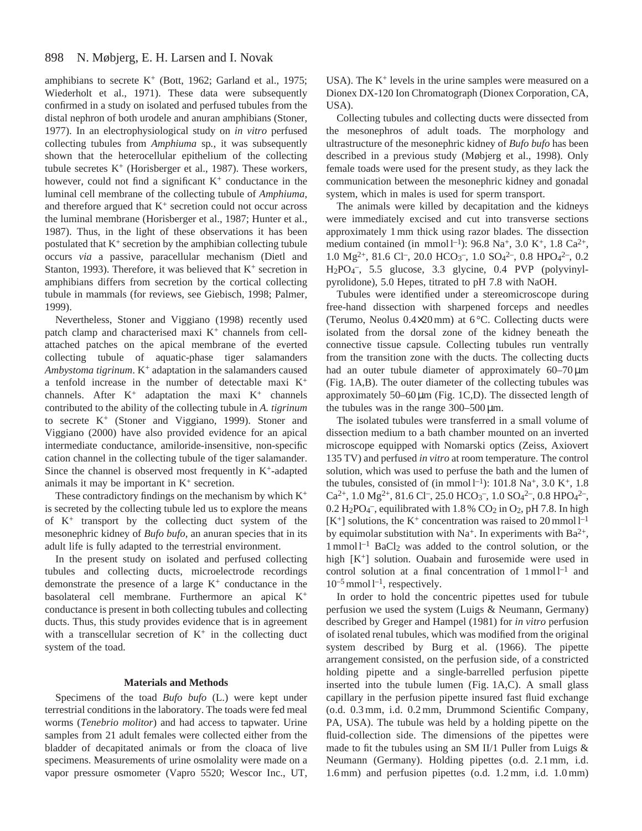#### 898 N. Møbjerg, E. H. Larsen and I. Novak

amphibians to secrete  $K^+$  (Bott, 1962; Garland et al., 1975; Wiederholt et al., 1971). These data were subsequently confirmed in a study on isolated and perfused tubules from the distal nephron of both urodele and anuran amphibians (Stoner, 1977). In an electrophysiological study on *in vitro* perfused collecting tubules from *Amphiuma* sp*.*, it was subsequently shown that the heterocellular epithelium of the collecting tubule secretes  $K^+$  (Horisberger et al., 1987). These workers, however, could not find a significant  $K^+$  conductance in the luminal cell membrane of the collecting tubule of *Amphiuma*, and therefore argued that  $K^+$  secretion could not occur across the luminal membrane (Horisberger et al., 1987; Hunter et al., 1987). Thus, in the light of these observations it has been postulated that  $K^+$  secretion by the amphibian collecting tubule occurs *via* a passive, paracellular mechanism (Dietl and Stanton, 1993). Therefore, it was believed that  $K^+$  secretion in amphibians differs from secretion by the cortical collecting tubule in mammals (for reviews, see Giebisch, 1998; Palmer, 1999).

Nevertheless, Stoner and Viggiano (1998) recently used patch clamp and characterised maxi  $K^+$  channels from cellattached patches on the apical membrane of the everted collecting tubule of aquatic-phase tiger salamanders *Ambystoma tigrinum*. K+ adaptation in the salamanders caused a tenfold increase in the number of detectable maxi K+ channels. After  $K^+$  adaptation the maxi  $K^+$  channels contributed to the ability of the collecting tubule in *A. tigrinum* to secrete K+ (Stoner and Viggiano, 1999). Stoner and Viggiano (2000) have also provided evidence for an apical intermediate conductance, amiloride-insensitive, non-specific cation channel in the collecting tubule of the tiger salamander. Since the channel is observed most frequently in  $K^+$ -adapted animals it may be important in  $K^+$  secretion.

These contradictory findings on the mechanism by which  $K^+$ is secreted by the collecting tubule led us to explore the means of K+ transport by the collecting duct system of the mesonephric kidney of *Bufo bufo*, an anuran species that in its adult life is fully adapted to the terrestrial environment.

In the present study on isolated and perfused collecting tubules and collecting ducts, microelectrode recordings demonstrate the presence of a large  $K^+$  conductance in the basolateral cell membrane. Furthermore an apical K+ conductance is present in both collecting tubules and collecting ducts. Thus, this study provides evidence that is in agreement with a transcellular secretion of  $K^+$  in the collecting duct system of the toad.

#### **Materials and Methods**

Specimens of the toad *Bufo bufo* (L.) were kept under terrestrial conditions in the laboratory. The toads were fed meal worms (*Tenebrio molitor*) and had access to tapwater. Urine samples from 21 adult females were collected either from the bladder of decapitated animals or from the cloaca of live specimens. Measurements of urine osmolality were made on a vapor pressure osmometer (Vapro 5520; Wescor Inc., UT, USA). The  $K^+$  levels in the urine samples were measured on a Dionex DX-120 Ion Chromatograph (Dionex Corporation, CA, USA).

Collecting tubules and collecting ducts were dissected from the mesonephros of adult toads. The morphology and ultrastructure of the mesonephric kidney of *Bufo bufo* has been described in a previous study (Møbjerg et al., 1998). Only female toads were used for the present study, as they lack the communication between the mesonephric kidney and gonadal system, which in males is used for sperm transport.

The animals were killed by decapitation and the kidneys were immediately excised and cut into transverse sections approximately 1 mm thick using razor blades. The dissection medium contained (in mmol  $l^{-1}$ ): 96.8 Na<sup>+</sup>, 3.0 K<sup>+</sup>, 1.8 Ca<sup>2+</sup>, 1.0 Mg<sup>2+</sup>, 81.6 Cl<sup>-</sup>, 20.0 HCO<sub>3</sub><sup>-</sup>, 1.0 SO<sub>4</sub><sup>2-</sup>, 0.8 HPO<sub>4</sub><sup>2-</sup>, 0.2 H2PO4 –, 5.5 glucose, 3.3 glycine, 0.4 PVP (polyvinylpyrolidone), 5.0 Hepes, titrated to pH 7.8 with NaOH.

Tubules were identified under a stereomicroscope during free-hand dissection with sharpened forceps and needles (Terumo, Neolus 0.4×20 mm) at 6 °C. Collecting ducts were isolated from the dorsal zone of the kidney beneath the connective tissue capsule. Collecting tubules run ventrally from the transition zone with the ducts. The collecting ducts had an outer tubule diameter of approximately 60–70  $\mu$ m (Fig. 1A,B). The outer diameter of the collecting tubules was approximately  $50-60 \mu m$  (Fig. 1C,D). The dissected length of the tubules was in the range  $300-500 \,\mu m$ .

The isolated tubules were transferred in a small volume of dissection medium to a bath chamber mounted on an inverted microscope equipped with Nomarski optics (Zeiss, Axiovert 135 TV) and perfused *in vitro* at room temperature. The control solution, which was used to perfuse the bath and the lumen of the tubules, consisted of (in mmol  $l^{-1}$ ): 101.8 Na<sup>+</sup>, 3.0 K<sup>+</sup>, 1.8  $Ca^{2+}$ , 1.0 Mg<sup>2+</sup>, 81.6 Cl<sup>-</sup>, 25.0 HCO<sub>3</sub><sup>-</sup>, 1.0 SO<sub>4</sub><sup>2-</sup>, 0.8 HPO<sub>4</sub><sup>2-</sup>,  $0.2 \text{ H}_2\text{PO}_4$ <sup>-</sup>, equilibrated with  $1.8\%$  CO<sub>2</sub> in O<sub>2</sub>, pH 7.8. In high  $[K^+]$  solutions, the  $K^+$  concentration was raised to 20 mmol  $l^{-1}$ by equimolar substitution with Na<sup>+</sup>. In experiments with Ba<sup>2+</sup>,  $1$  mmol  $1^{-1}$  BaCl<sub>2</sub> was added to the control solution, or the high [K<sup>+</sup>] solution. Ouabain and furosemide were used in control solution at a final concentration of  $1$  mmol  $1^{-1}$  and  $10^{-5}$  mmol  $l^{-1}$ , respectively.

In order to hold the concentric pipettes used for tubule perfusion we used the system (Luigs & Neumann, Germany) described by Greger and Hampel (1981) for *in vitro* perfusion of isolated renal tubules, which was modified from the original system described by Burg et al. (1966). The pipette arrangement consisted, on the perfusion side, of a constricted holding pipette and a single-barrelled perfusion pipette inserted into the tubule lumen (Fig. 1A,C). A small glass capillary in the perfusion pipette insured fast fluid exchange (o.d. 0.3 mm, i.d. 0.2 mm, Drummond Scientific Company, PA, USA). The tubule was held by a holding pipette on the fluid-collection side. The dimensions of the pipettes were made to fit the tubules using an SM II/1 Puller from Luigs  $\&$ Neumann (Germany). Holding pipettes (o.d. 2.1 mm, i.d. 1.6 mm) and perfusion pipettes (o.d. 1.2 mm, i.d. 1.0 mm)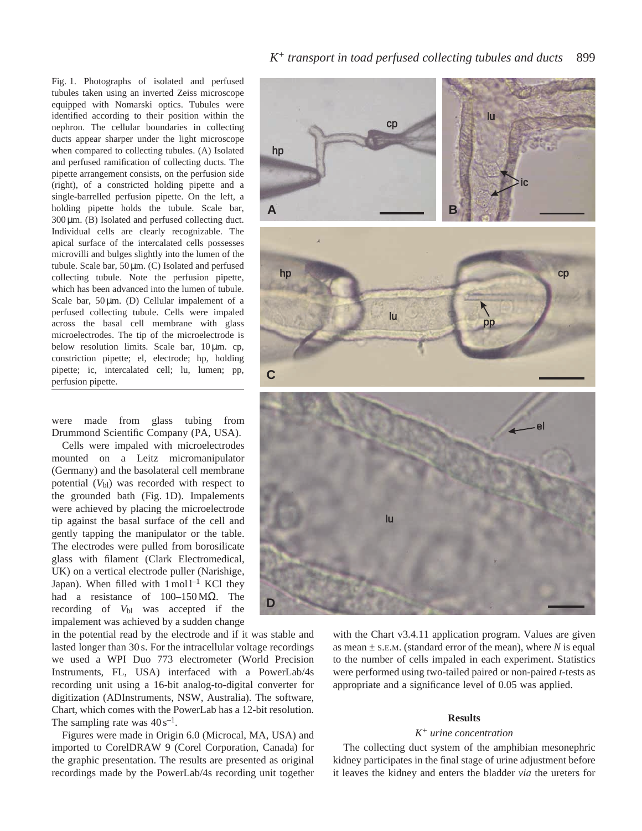Fig. 1. Photographs of isolated and perfused tubules taken using an inverted Zeiss microscope equipped with Nomarski optics. Tubules were identified according to their position within the nephron. The cellular boundaries in collecting ducts appear sharper under the light microscope when compared to collecting tubules. (A) Isolated and perfused ramification of collecting ducts. The pipette arrangement consists, on the perfusion side (right), of a constricted holding pipette and a single-barrelled perfusion pipette. On the left, a holding pipette holds the tubule. Scale bar, 300 µm. (B) Isolated and perfused collecting duct. Individual cells are clearly recognizable. The apical surface of the intercalated cells possesses microvilli and bulges slightly into the lumen of the tubule. Scale bar, 50 µm. (C) Isolated and perfused collecting tubule. Note the perfusion pipette, which has been advanced into the lumen of tubule. Scale bar,  $50 \mu m$ . (D) Cellular impalement of a perfused collecting tubule. Cells were impaled across the basal cell membrane with glass microelectrodes. The tip of the microelectrode is below resolution limits. Scale bar, 10 µm. cp, constriction pipette; el, electrode; hp, holding pipette; ic, intercalated cell; lu, lumen; pp, perfusion pipette.

were made from glass tubing from Drummond Scientific Company (PA, USA).

Cells were impaled with microelectrodes mounted on a Leitz micromanipulator (Germany) and the basolateral cell membrane potential  $(V<sub>b1</sub>)$  was recorded with respect to the grounded bath (Fig. 1D). Impalements were achieved by placing the microelectrode tip against the basal surface of the cell and gently tapping the manipulator or the table. The electrodes were pulled from borosilicate glass with filament (Clark Electromedical, UK) on a vertical electrode puller (Narishige, Japan). When filled with  $1 \text{ mol}^{-1}$  KCl they had a resistance of 100–150 MΩ. The recording of *V*bl was accepted if the impalement was achieved by a sudden change

in the potential read by the electrode and if it was stable and lasted longer than 30 s. For the intracellular voltage recordings we used a WPI Duo 773 electrometer (World Precision Instruments, FL, USA) interfaced with a PowerLab/4s recording unit using a 16-bit analog-to-digital converter for digitization (ADInstruments, NSW, Australia). The software, Chart, which comes with the PowerLab has a 12-bit resolution. The sampling rate was  $40 s^{-1}$ .

Figures were made in Origin 6.0 (Microcal, MA, USA) and imported to CorelDRAW 9 (Corel Corporation, Canada) for the graphic presentation. The results are presented as original recordings made by the PowerLab/4s recording unit together

## *K*<sup>+</sup> *transport in toad perfused collecting tubules and ducts* 899



with the Chart v3.4.11 application program. Values are given as mean  $\pm$  s.E.M. (standard error of the mean), where *N* is equal to the number of cells impaled in each experiment. Statistics were performed using two-tailed paired or non-paired *t*-tests as appropriate and a significance level of 0.05 was applied.

#### **Results**

#### *K+ urine concentration*

The collecting duct system of the amphibian mesonephric kidney participates in the final stage of urine adjustment before it leaves the kidney and enters the bladder *via* the ureters for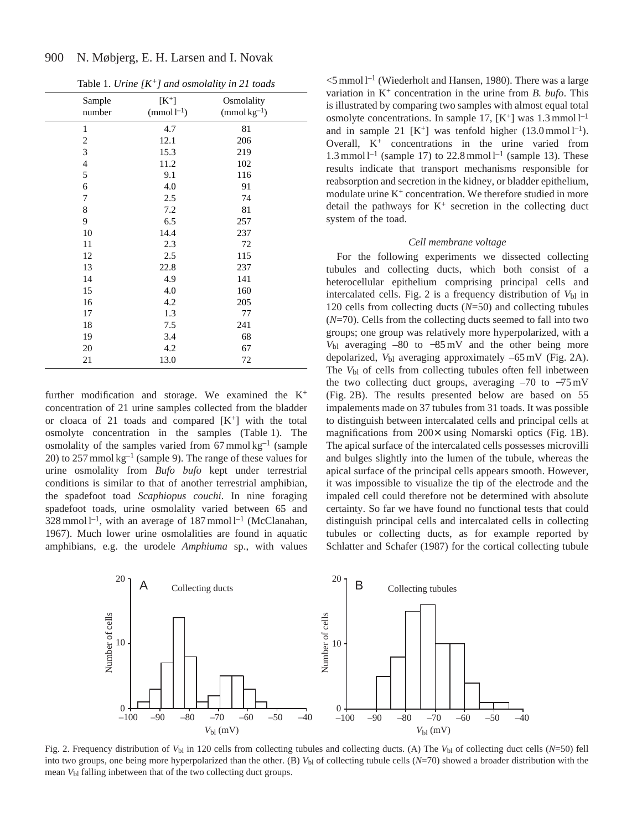|                  |                                 | $\checkmark$                   |  |
|------------------|---------------------------------|--------------------------------|--|
| Sample<br>number | $[K^+]$<br>(mmol <sup>1</sup> ) | Osmolality<br>$(mmol kg^{-1})$ |  |
| $\mathbf{1}$     | 4.7                             | 81                             |  |
| $\overline{c}$   | 12.1                            | 206                            |  |
| 3                | 15.3                            | 219                            |  |
| $\overline{4}$   | 11.2                            | 102                            |  |
| 5                | 9.1                             | 116                            |  |
| 6                | 4.0                             | 91                             |  |
| $\sqrt{ }$       | 2.5                             | 74                             |  |
| 8                | 7.2                             | 81                             |  |
| 9                | 6.5                             | 257                            |  |
| 10               | 14.4                            | 237                            |  |
| 11               | 2.3                             | 72                             |  |
| 12               | 2.5                             | 115                            |  |
| 13               | 22.8                            | 237                            |  |
| 14               | 4.9                             | 141                            |  |
| 15               | 4.0                             | 160                            |  |
| 16               | 4.2                             | 205                            |  |
| 17               | 1.3                             | 77                             |  |
| 18               | 7.5                             | 241                            |  |
| 19               | 3.4                             | 68                             |  |
| 20               | 4.2                             | 67                             |  |
| 21               | 13.0                            | 72                             |  |

Table 1. *Urine [K+] and osmolality in 21 toads*

N. Møbjerg, E. H. Larsen and I. Novak

900

further modification and storage. We examined the  $K^+$ concentration of 21 urine samples collected from the bladder or cloaca of 21 toads and compared  $[K^+]$  with the total osmolyte concentration in the samples (Table 1). The osmolality of the samples varied from  $67 \text{ mmol kg}^{-1}$  (sample 20) to 257 mmol  $kg^{-1}$  (sample 9). The range of these values for urine osmolality from *Bufo bufo* kept under terrestrial conditions is similar to that of another terrestrial amphibian, the spadefoot toad *Scaphiopus couchi*. In nine foraging spadefoot toads, urine osmolality varied between 65 and 328 mmol  $l^{-1}$ , with an average of 187 mmol  $l^{-1}$  (McClanahan, 1967). Much lower urine osmolalities are found in aquatic amphibians, e.g. the urodele *Amphiuma* sp., with values

 $<$ 5 mmol l<sup>-1</sup> (Wiederholt and Hansen, 1980). There was a large variation in K+ concentration in the urine from *B. bufo*. This is illustrated by comparing two samples with almost equal total osmolyte concentrations. In sample 17,  $[K^+]$  was 1.3 mmol  $l^{-1}$ and in sample 21  $[K^+]$  was tenfold higher  $(13.0 \text{ mmol } l^{-1})$ . Overall, K+ concentrations in the urine varied from 1.3 mmol  $l^{-1}$  (sample 17) to 22.8 mmol  $l^{-1}$  (sample 13). These results indicate that transport mechanisms responsible for reabsorption and secretion in the kidney, or bladder epithelium, modulate urine  $K^+$  concentration. We therefore studied in more detail the pathways for  $K^+$  secretion in the collecting duct system of the toad.

#### *Cell membrane voltage*

For the following experiments we dissected collecting tubules and collecting ducts, which both consist of a heterocellular epithelium comprising principal cells and intercalated cells. Fig. 2 is a frequency distribution of  $V_{bl}$  in 120 cells from collecting ducts (*N*=50) and collecting tubules (*N*=70). Cells from the collecting ducts seemed to fall into two groups; one group was relatively more hyperpolarized, with a *V*bl averaging –80 to −85 mV and the other being more depolarized,  $V_{bl}$  averaging approximately  $-65$  mV (Fig. 2A). The  $V_{bl}$  of cells from collecting tubules often fell inbetween the two collecting duct groups, averaging –70 to −75 mV (Fig. 2B). The results presented below are based on 55 impalements made on 37 tubules from 31 toads. It was possible to distinguish between intercalated cells and principal cells at magnifications from 200× using Nomarski optics (Fig. 1B). The apical surface of the intercalated cells possesses microvilli and bulges slightly into the lumen of the tubule, whereas the apical surface of the principal cells appears smooth. However, it was impossible to visualize the tip of the electrode and the impaled cell could therefore not be determined with absolute certainty. So far we have found no functional tests that could distinguish principal cells and intercalated cells in collecting tubules or collecting ducts, as for example reported by Schlatter and Schafer (1987) for the cortical collecting tubule



Fig. 2. Frequency distribution of  $V_{bl}$  in 120 cells from collecting tubules and collecting ducts. (A) The  $V_{bl}$  of collecting duct cells (*N*=50) fell into two groups, one being more hyperpolarized than the other. (B)  $V_{b1}$  of collecting tubule cells  $(N=70)$  showed a broader distribution with the mean  $V_{bl}$  falling inbetween that of the two collecting duct groups.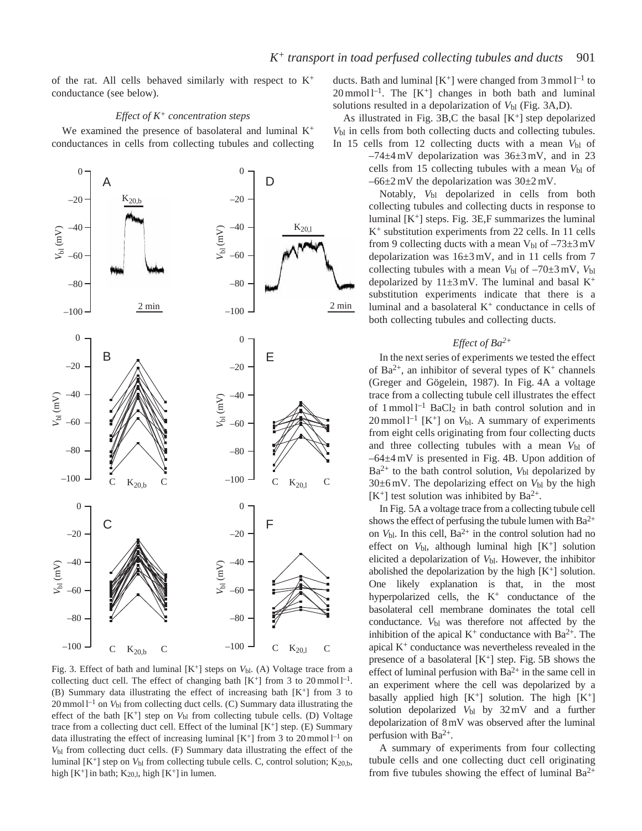of the rat. All cells behaved similarly with respect to  $K^+$ conductance (see below).

### *Effect of K+ concentration steps*

We examined the presence of basolateral and luminal  $K^+$ conductances in cells from collecting tubules and collecting



Fig. 3. Effect of bath and luminal [K<sup>+</sup>] steps on *V*<sub>bl</sub>. (A) Voltage trace from a collecting duct cell. The effect of changing bath  $[K^+]$  from 3 to 20 mmol  $l^{-1}$ . (B) Summary data illustrating the effect of increasing bath [K+] from 3 to 20 mmol l–1 on *V*bl from collecting duct cells. (C) Summary data illustrating the effect of the bath  $[K^+]$  step on  $V_{bl}$  from collecting tubule cells. (D) Voltage trace from a collecting duct cell. Effect of the luminal  $[K^+]$  step. (E) Summary data illustrating the effect of increasing luminal  $[K^+]$  from 3 to 20 mmol  $l^{-1}$  on *V*bl from collecting duct cells. (F) Summary data illustrating the effect of the luminal  $[K^+]$  step on  $V_{bl}$  from collecting tubule cells. C, control solution;  $K_{20,b}$ , high  $[K^+]$  in bath;  $K_{20,1}$ , high  $[K^+]$  in lumen.

ducts. Bath and luminal  $[K^+]$  were changed from 3 mmol  $l^{-1}$  to  $20 \text{ mmol } l^{-1}$ . The  $[K^+]$  changes in both bath and luminal solutions resulted in a depolarization of  $V_{bl}$  (Fig. 3A,D).

As illustrated in Fig. 3B,C the basal  $[K^+]$  step depolarized  $V_{bl}$  in cells from both collecting ducts and collecting tubules. In 15 cells from 12 collecting ducts with a mean  $V_{bl}$  of

 $-74\pm4$  mV depolarization was  $36\pm3$  mV, and in 23 cells from 15 collecting tubules with a mean  $V_{bl}$  of  $-66\pm2$  mV the depolarization was  $30\pm2$  mV.

Notably, *V*bl depolarized in cells from both collecting tubules and collecting ducts in response to luminal  $[K^+]$  steps. Fig. 3E,F summarizes the luminal K+ substitution experiments from 22 cells. In 11 cells from 9 collecting ducts with a mean  $V_{bl}$  of  $-73\pm3$  mV depolarization was 16±3 mV, and in 11 cells from 7 collecting tubules with a mean  $V_{bl}$  of  $-70\pm3$  mV,  $V_{bl}$ depolarized by  $11\pm3$  mV. The luminal and basal K<sup>+</sup> substitution experiments indicate that there is a luminal and a basolateral  $K<sup>+</sup>$  conductance in cells of both collecting tubules and collecting ducts.

# *Effect of Ba2+*

In the next series of experiments we tested the effect of  $Ba^{2+}$ , an inhibitor of several types of  $K^+$  channels (Greger and Gögelein, 1987). In Fig. 4A a voltage trace from a collecting tubule cell illustrates the effect of  $1$  mmol<sup>1-1</sup> BaCl<sub>2</sub> in bath control solution and in  $20$  mmol  $l^{-1}$  [K<sup>+</sup>] on  $V_{bl}$ . A summary of experiments from eight cells originating from four collecting ducts and three collecting tubules with a mean  $V_{\text{bl}}$  of –64±4 mV is presented in Fig. 4B. Upon addition of  $Ba^{2+}$  to the bath control solution,  $V_{bl}$  depolarized by  $30\pm6$  mV. The depolarizing effect on  $V_{bl}$  by the high  $[K^+]$  test solution was inhibited by Ba<sup>2+</sup>.

In Fig. 5A a voltage trace from a collecting tubule cell shows the effect of perfusing the tubule lumen with  $Ba^{2+}$ on  $V_{\text{bl}}$ . In this cell,  $Ba^{2+}$  in the control solution had no effect on  $V_{bl}$ , although luminal high  $[K^+]$  solution elicited a depolarization of *V*bl. However, the inhibitor abolished the depolarization by the high  $[K^+]$  solution. One likely explanation is that, in the most hyperpolarized cells, the  $K^+$  conductance of the basolateral cell membrane dominates the total cell conductance.  $V_{bl}$  was therefore not affected by the inhibition of the apical  $K^+$  conductance with Ba<sup>2+</sup>. The apical  $K<sup>+</sup>$  conductance was nevertheless revealed in the presence of a basolateral  $[K^+]$  step. Fig. 5B shows the effect of luminal perfusion with  $Ba^{2+}$  in the same cell in an experiment where the cell was depolarized by a basally applied high  $[K^+]$  solution. The high  $[K^+]$ solution depolarized *V*bl by 32mV and a further depolarization of 8mV was observed after the luminal perfusion with  $Ba^{2+}$ .

A summary of experiments from four collecting tubule cells and one collecting duct cell originating from five tubules showing the effect of luminal  $Ba^{2+}$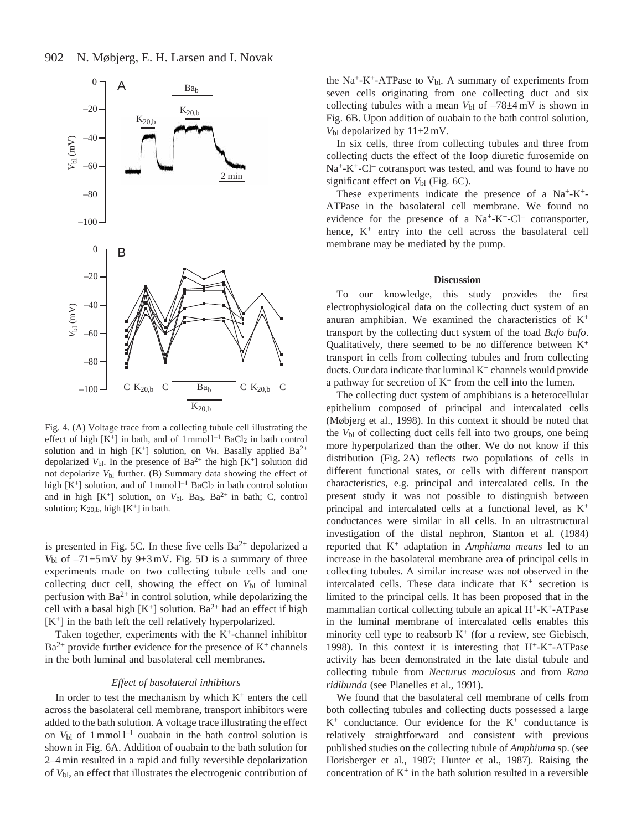

Fig. 4. (A) Voltage trace from a collecting tubule cell illustrating the effect of high  $[K^+]$  in bath, and of 1 mmol  $l^{-1}$  BaCl<sub>2</sub> in bath control solution and in high  $[K^+]$  solution, on  $V_{bl}$ . Basally applied Ba<sup>2+</sup> depolarized  $V_{bl}$ . In the presence of Ba<sup>2+</sup> the high [K<sup>+</sup>] solution did not depolarize *V*bl further. (B) Summary data showing the effect of high  $[K^+]$  solution, and of 1 mmol  $l^{-1}$  BaCl<sub>2</sub> in bath control solution and in high  $[K^+]$  solution, on  $V_{bl}$ . Ba<sub>b</sub>, Ba<sup>2+</sup> in bath; C, control solution;  $K_{20,b}$ , high  $[K^+]$  in bath.

is presented in Fig. 5C. In these five cells  $Ba^{2+}$  depolarized a  $V_{bl}$  of  $-71\pm5$  mV by  $9\pm3$  mV. Fig. 5D is a summary of three experiments made on two collecting tubule cells and one collecting duct cell, showing the effect on  $V_{bl}$  of luminal perfusion with  $Ba^{2+}$  in control solution, while depolarizing the cell with a basal high  $[K^+]$  solution. Ba<sup>2+</sup> had an effect if high [K<sup>+</sup>] in the bath left the cell relatively hyperpolarized.

Taken together, experiments with the K<sup>+</sup>-channel inhibitor  $Ba^{2+}$  provide further evidence for the presence of  $K^+$  channels in the both luminal and basolateral cell membranes.

#### *Effect of basolateral inhibitors*

In order to test the mechanism by which  $K<sup>+</sup>$  enters the cell across the basolateral cell membrane, transport inhibitors were added to the bath solution. A voltage trace illustrating the effect on  $V_{bl}$  of 1 mmol  $l^{-1}$  ouabain in the bath control solution is shown in Fig. 6A. Addition of ouabain to the bath solution for 2–4 min resulted in a rapid and fully reversible depolarization of *V*bl, an effect that illustrates the electrogenic contribution of

the  $Na^+ - K^+ - ATP$ ase to  $V_{bl}$ . A summary of experiments from seven cells originating from one collecting duct and six collecting tubules with a mean  $V_{bl}$  of  $-78\pm4$  mV is shown in Fig. 6B. Upon addition of ouabain to the bath control solution,  $V_{bl}$  depolarized by  $11\pm2$  mV.

In six cells, three from collecting tubules and three from collecting ducts the effect of the loop diuretic furosemide on Na<sup>+</sup>-K<sup>+</sup>-Cl<sup>–</sup> cotransport was tested, and was found to have no significant effect on  $V_{bl}$  (Fig. 6C).

These experiments indicate the presence of a  $Na^+ - K^+$ -ATPase in the basolateral cell membrane. We found no evidence for the presence of a  $Na^+ - K^+ - Cl^-$  cotransporter, hence,  $K^+$  entry into the cell across the basolateral cell membrane may be mediated by the pump.

#### **Discussion**

To our knowledge, this study provides the first electrophysiological data on the collecting duct system of an anuran amphibian. We examined the characteristics of  $K^+$ transport by the collecting duct system of the toad *Bufo bufo*. Qualitatively, there seemed to be no difference between  $K^+$ transport in cells from collecting tubules and from collecting ducts. Our data indicate that luminal  $K^+$  channels would provide a pathway for secretion of  $K^+$  from the cell into the lumen.

The collecting duct system of amphibians is a heterocellular epithelium composed of principal and intercalated cells (Møbjerg et al., 1998). In this context it should be noted that the *V*bl of collecting duct cells fell into two groups, one being more hyperpolarized than the other. We do not know if this distribution (Fig. 2A) reflects two populations of cells in different functional states, or cells with different transport characteristics, e.g. principal and intercalated cells. In the present study it was not possible to distinguish between principal and intercalated cells at a functional level, as K<sup>+</sup> conductances were similar in all cells. In an ultrastructural investigation of the distal nephron, Stanton et al. (1984) reported that K+ adaptation in *Amphiuma means* led to an increase in the basolateral membrane area of principal cells in collecting tubules. A similar increase was not observed in the intercalated cells. These data indicate that  $K^+$  secretion is limited to the principal cells. It has been proposed that in the mammalian cortical collecting tubule an apical H+-K+-ATPase in the luminal membrane of intercalated cells enables this minority cell type to reabsorb  $K^+$  (for a review, see Giebisch, 1998). In this context it is interesting that H+-K+-ATPase activity has been demonstrated in the late distal tubule and collecting tubule from *Necturus maculosus* and from *Rana ridibunda* (see Planelles et al., 1991).

We found that the basolateral cell membrane of cells from both collecting tubules and collecting ducts possessed a large  $K^+$  conductance. Our evidence for the  $K^+$  conductance is relatively straightforward and consistent with previous published studies on the collecting tubule of *Amphiuma* sp. (see Horisberger et al., 1987; Hunter et al., 1987). Raising the concentration of  $K^+$  in the bath solution resulted in a reversible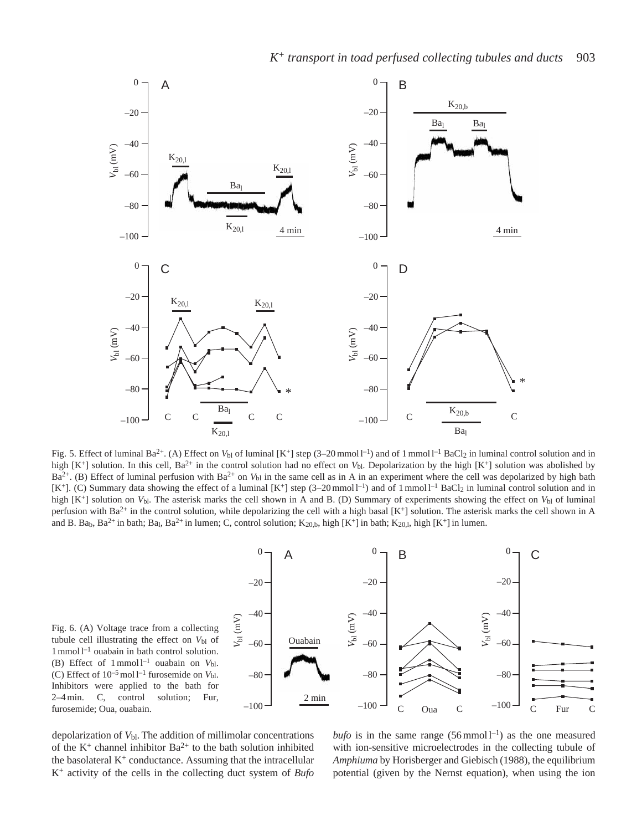

Fig. 5. Effect of luminal Ba<sup>2+</sup>. (A) Effect on  $V_{bl}$  of luminal  $[K^+]$  step (3–20 mmol l<sup>-1</sup>) and of 1 mmol l<sup>-1</sup> BaCl<sub>2</sub> in luminal control solution and in high [K<sup>+</sup>] solution. In this cell, Ba<sup>2+</sup> in the control solution had no effect on *V*<sub>bl</sub>. Depolarization by the high [K<sup>+</sup>] solution was abolished by  $Ba^{2+}$ . (B) Effect of luminal perfusion with  $Ba^{2+}$  on  $V_{bl}$  in the same cell as in A in an experiment where the cell was depolarized by high bath  $[K^+]$ . (C) Summary data showing the effect of a luminal  $[K^+]$  step (3–20 mmol l<sup>-1</sup>) and of 1 mmol l<sup>-1</sup> BaCl<sub>2</sub> in luminal control solution and in high [K<sup>+</sup>] solution on *V*<sub>b</sub>l. The asterisk marks the cell shown in A and B. (D) Summary of experiments showing the effect on *V*<sub>b</sub>l of luminal perfusion with Ba<sup>2+</sup> in the control solution, while depolarizing the cell with a high basal [K<sup>+</sup>] solution. The asterisk marks the cell shown in A and B. Ba<sub>b</sub>, Ba<sup>2+</sup> in bath; Ba<sub>l</sub>, Ba<sup>2+</sup> in lumen; C, control solution; K<sub>20,b</sub>, high [K<sup>+</sup>] in bath; K<sub>20,l</sub>, high [K<sup>+</sup>] in lumen.

Fig. 6. (A) Voltage trace from a collecting tubule cell illustrating the effect on  $V_{bl}$  of 1 mmol l–1 ouabain in bath control solution. (B) Effect of 1 mmol l–1 ouabain on *V*bl. (C) Effect of  $10^{-5}$  mol  $l^{-1}$  furosemide on  $V_{bl}$ . Inhibitors were applied to the bath for 2–4 min. C, control solution; Fur, furosemide; Oua, ouabain.



depolarization of *V*bl. The addition of millimolar concentrations of the  $K^+$  channel inhibitor  $Ba^{2+}$  to the bath solution inhibited the basolateral  $K^{+}$  conductance. Assuming that the intracellular K+ activity of the cells in the collecting duct system of *Bufo*

*bufo* is in the same range  $(56 \text{mmol } 1^{-1})$  as the one measured with ion-sensitive microelectrodes in the collecting tubule of *Amphiuma* by Horisberger and Giebisch (1988), the equilibrium potential (given by the Nernst equation), when using the ion